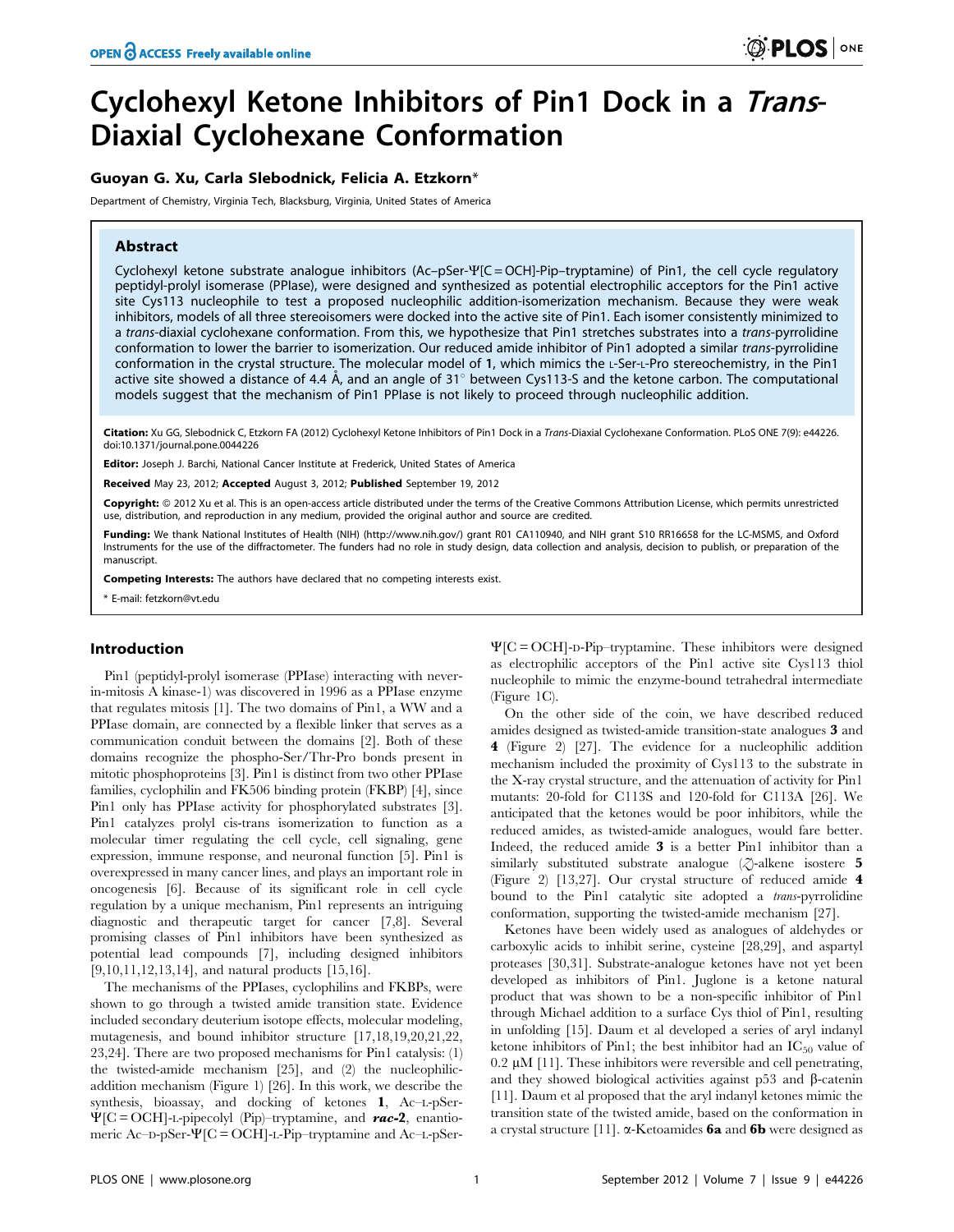# Cyclohexyl Ketone Inhibitors of Pin1 Dock in a Trans-Diaxial Cyclohexane Conformation

# Guoyan G. Xu, Carla Slebodnick, Felicia A. Etzkorn\*

Department of Chemistry, Virginia Tech, Blacksburg, Virginia, United States of America

## Abstract

Cyclohexyl ketone substrate analogue inhibitors (Ac–pSer-Y[C = OCH]-Pip–tryptamine) of Pin1, the cell cycle regulatory peptidyl-prolyl isomerase (PPIase), were designed and synthesized as potential electrophilic acceptors for the Pin1 active site Cys113 nucleophile to test a proposed nucleophilic addition-isomerization mechanism. Because they were weak inhibitors, models of all three stereoisomers were docked into the active site of Pin1. Each isomer consistently minimized to a trans-diaxial cyclohexane conformation. From this, we hypothesize that Pin1 stretches substrates into a trans-pyrrolidine conformation to lower the barrier to isomerization. Our reduced amide inhibitor of Pin1 adopted a similar trans-pyrrolidine conformation in the crystal structure. The molecular model of 1, which mimics the L-Ser-L-Pro stereochemistry, in the Pin1 active site showed a distance of 4.4 Å, and an angle of 31 $^{\circ}$  between Cys113-S and the ketone carbon. The computational models suggest that the mechanism of Pin1 PPIase is not likely to proceed through nucleophilic addition.

Citation: Xu GG, Slebodnick C, Etzkorn FA (2012) Cyclohexyl Ketone Inhibitors of Pin1 Dock in a Trans-Diaxial Cyclohexane Conformation. PLoS ONE 7(9): e44226. doi:10.1371/journal.pone.0044226

Editor: Joseph J. Barchi, National Cancer Institute at Frederick, United States of America

Received May 23, 2012; Accepted August 3, 2012; Published September 19, 2012

Copyright: © 2012 Xu et al. This is an open-access article distributed under the terms of the Creative Commons Attribution License, which permits unrestricted use, distribution, and reproduction in any medium, provided the original author and source are credited.

Funding: We thank National Institutes of Health (NIH) (http://www.nih.gov/) grant R01 CA110940, and NIH grant S10 RR16658 for the LC-MSMS, and Oxford Instruments for the use of the diffractometer. The funders had no role in study design, data collection and analysis, decision to publish, or preparation of the manuscript.

Competing Interests: The authors have declared that no competing interests exist.

\* E-mail: fetzkorn@vt.edu

# Introduction

Pin1 (peptidyl-prolyl isomerase (PPIase) interacting with neverin-mitosis A kinase-1) was discovered in 1996 as a PPIase enzyme that regulates mitosis [1]. The two domains of Pin1, a WW and a PPIase domain, are connected by a flexible linker that serves as a communication conduit between the domains [2]. Both of these domains recognize the phospho-Ser/Thr-Pro bonds present in mitotic phosphoproteins [3]. Pin1 is distinct from two other PPIase families, cyclophilin and FK506 binding protein (FKBP) [4], since Pin1 only has PPIase activity for phosphorylated substrates [3]. Pin1 catalyzes prolyl cis-trans isomerization to function as a molecular timer regulating the cell cycle, cell signaling, gene expression, immune response, and neuronal function [5]. Pin1 is overexpressed in many cancer lines, and plays an important role in oncogenesis [6]. Because of its significant role in cell cycle regulation by a unique mechanism, Pin1 represents an intriguing diagnostic and therapeutic target for cancer [7,8]. Several promising classes of Pin1 inhibitors have been synthesized as potential lead compounds [7], including designed inhibitors [9,10,11,12,13,14], and natural products [15,16].

The mechanisms of the PPIases, cyclophilins and FKBPs, were shown to go through a twisted amide transition state. Evidence included secondary deuterium isotope effects, molecular modeling, mutagenesis, and bound inhibitor structure [17,18,19,20,21,22, 23,24]. There are two proposed mechanisms for Pin1 catalysis: (1) the twisted-amide mechanism [25], and (2) the nucleophilicaddition mechanism (Figure 1) [26]. In this work, we describe the synthesis, bioassay, and docking of ketones 1, Ac–L-pSer- $\Psi$ [C = OCH]-L-pipecolyl (Pip)–tryptamine, and rac-2, enantiomeric Ac–D-pSer- $\Psi$ [C = OCH]-L-Pip–tryptamine and Ac–L-pSer-

 $\Psi$ [C = OCH]-D-Pip–tryptamine. These inhibitors were designed as electrophilic acceptors of the Pin1 active site Cys113 thiol nucleophile to mimic the enzyme-bound tetrahedral intermediate (Figure 1C).

On the other side of the coin, we have described reduced amides designed as twisted-amide transition-state analogues 3 and 4 (Figure 2) [27]. The evidence for a nucleophilic addition mechanism included the proximity of Cys113 to the substrate in the X-ray crystal structure, and the attenuation of activity for Pin1 mutants: 20-fold for C113S and 120-fold for C113A [26]. We anticipated that the ketones would be poor inhibitors, while the reduced amides, as twisted-amide analogues, would fare better. Indeed, the reduced amide 3 is a better Pin1 inhibitor than a similarly substituted substrate analogue (Z)-alkene isostere 5 (Figure 2) [13,27]. Our crystal structure of reduced amide 4 bound to the Pin1 catalytic site adopted a trans-pyrrolidine conformation, supporting the twisted-amide mechanism [27].

Ketones have been widely used as analogues of aldehydes or carboxylic acids to inhibit serine, cysteine [28,29], and aspartyl proteases [30,31]. Substrate-analogue ketones have not yet been developed as inhibitors of Pin1. Juglone is a ketone natural product that was shown to be a non-specific inhibitor of Pin1 through Michael addition to a surface Cys thiol of Pin1, resulting in unfolding [15]. Daum et al developed a series of aryl indanyl ketone inhibitors of Pin1; the best inhibitor had an  $IC_{50}$  value of 0.2  $\mu$ M [11]. These inhibitors were reversible and cell penetrating, and they showed biological activities against  $p53$  and  $\beta$ -catenin [11]. Daum et al proposed that the aryl indanyl ketones mimic the transition state of the twisted amide, based on the conformation in a crystal structure [11].  $\alpha$ -Ketoamides 6a and 6b were designed as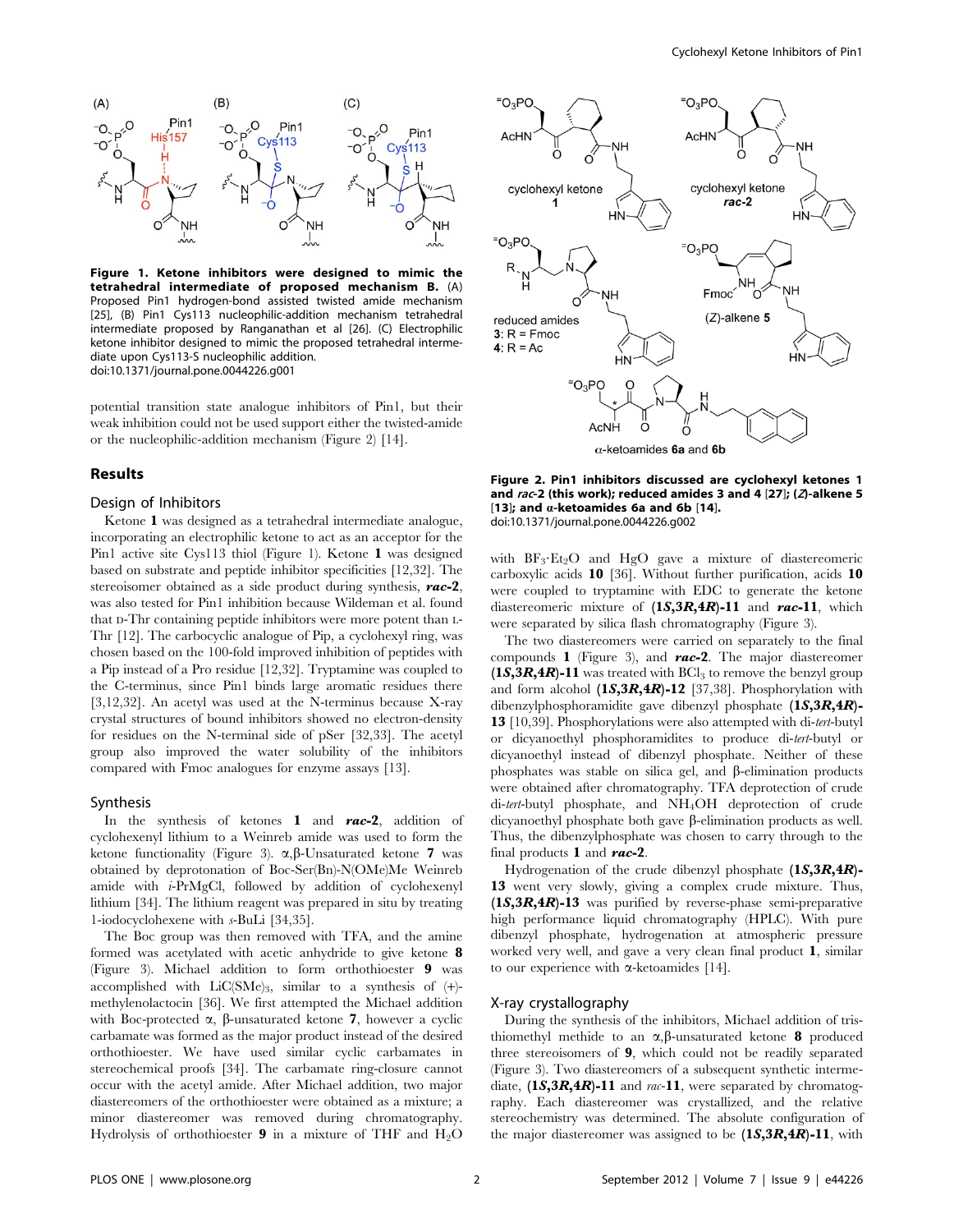

Figure 1. Ketone inhibitors were designed to mimic the tetrahedral intermediate of proposed mechanism B. (A) Proposed Pin1 hydrogen-bond assisted twisted amide mechanism [25], (B) Pin1 Cys113 nucleophilic-addition mechanism tetrahedral intermediate proposed by Ranganathan et al [26]. (C) Electrophilic ketone inhibitor designed to mimic the proposed tetrahedral intermediate upon Cys113-S nucleophilic addition. doi:10.1371/journal.pone.0044226.g001

potential transition state analogue inhibitors of Pin1, but their weak inhibition could not be used support either the twisted-amide or the nucleophilic-addition mechanism (Figure 2) [14].

## Results

#### Design of Inhibitors

Ketone 1 was designed as a tetrahedral intermediate analogue, incorporating an electrophilic ketone to act as an acceptor for the Pin1 active site Cys113 thiol (Figure 1). Ketone 1 was designed based on substrate and peptide inhibitor specificities [12,32]. The stereoisomer obtained as a side product during synthesis,  $rac{rac}{ }$ . was also tested for Pin1 inhibition because Wildeman et al. found that D-Thr containing peptide inhibitors were more potent than L-Thr [12]. The carbocyclic analogue of Pip, a cyclohexyl ring, was chosen based on the 100-fold improved inhibition of peptides with a Pip instead of a Pro residue [12,32]. Tryptamine was coupled to the C-terminus, since Pin1 binds large aromatic residues there [3,12,32]. An acetyl was used at the N-terminus because X-ray crystal structures of bound inhibitors showed no electron-density for residues on the N-terminal side of pSer [32,33]. The acetyl group also improved the water solubility of the inhibitors compared with Fmoc analogues for enzyme assays [13].

#### Synthesis

In the synthesis of ketones 1 and rac-2, addition of cyclohexenyl lithium to a Weinreb amide was used to form the ketone functionality (Figure 3).  $\alpha$ ,  $\beta$ -Unsaturated ketone 7 was obtained by deprotonation of Boc-Ser(Bn)-N(OMe)Me Weinreb amide with i-PrMgCl, followed by addition of cyclohexenyl lithium [34]. The lithium reagent was prepared in situ by treating 1-iodocyclohexene with s-BuLi [34,35].

The Boc group was then removed with TFA, and the amine formed was acetylated with acetic anhydride to give ketone 8 (Figure 3). Michael addition to form orthothioester 9 was accomplished with  $LiC(SMe)_{3}$ , similar to a synthesis of  $(+)$ methylenolactocin [36]. We first attempted the Michael addition with Boc-protected  $\alpha$ ,  $\beta$ -unsaturated ketone 7, however a cyclic carbamate was formed as the major product instead of the desired orthothioester. We have used similar cyclic carbamates in stereochemical proofs [34]. The carbamate ring-closure cannot occur with the acetyl amide. After Michael addition, two major diastereomers of the orthothioester were obtained as a mixture; a minor diastereomer was removed during chromatography. Hydrolysis of orthothioester 9 in a mixture of THF and  $H_2O$ 



Figure 2. Pin1 inhibitors discussed are cyclohexyl ketones 1 and rac-2 (this work); reduced amides 3 and 4 [27]; (Z)-alkene 5 [13]; and  $\alpha$ -ketoamides 6a and 6b [14]. doi:10.1371/journal.pone.0044226.g002

with  $BF_3 \cdot Et_2O$  and  $HgO$  gave a mixture of diastereomeric carboxylic acids 10 [36]. Without further purification, acids 10 were coupled to tryptamine with EDC to generate the ketone diastereomeric mixture of  $(1S, 3R, 4R)$ -11 and rac-11, which were separated by silica flash chromatography (Figure 3).

The two diastereomers were carried on separately to the final compounds 1 (Figure 3), and  $rac{-2}{ }$ . The major diastereomer  $(1S,3R,4R)$ -11 was treated with  $BCl<sub>3</sub>$  to remove the benzyl group and form alcohol  $(1S, 3R, 4R)$ -12 [37,38]. Phosphorylation with dibenzylphosphoramidite gave dibenzyl phosphate (1S,3R,4R)- 13 [10,39]. Phosphorylations were also attempted with di-tert-butyl or dicyanoethyl phosphoramidites to produce di-tert-butyl or dicyanoethyl instead of dibenzyl phosphate. Neither of these phosphates was stable on silica gel, and  $\beta$ -elimination products were obtained after chromatography. TFA deprotection of crude di-tert-butyl phosphate, and NH4OH deprotection of crude dicyanoethyl phosphate both gave  $\beta$ -elimination products as well. Thus, the dibenzylphosphate was chosen to carry through to the final products  $1$  and rac-2.

Hydrogenation of the crude dibenzyl phosphate (1S,3R,4R)-13 went very slowly, giving a complex crude mixture. Thus, (1S,3R,4R)-13 was purified by reverse-phase semi-preparative high performance liquid chromatography (HPLC). With pure dibenzyl phosphate, hydrogenation at atmospheric pressure worked very well, and gave a very clean final product 1, similar to our experience with  $\alpha$ -ketoamides [14].

## X-ray crystallography

During the synthesis of the inhibitors, Michael addition of tristhiomethyl methide to an  $\alpha, \beta$ -unsaturated ketone 8 produced three stereoisomers of 9, which could not be readily separated (Figure 3). Two diastereomers of a subsequent synthetic intermediate,  $(1S, 3R, 4R)$ -11 and rac-11, were separated by chromatography. Each diastereomer was crystallized, and the relative stereochemistry was determined. The absolute configuration of the major diastereomer was assigned to be  $(1S, 3R, 4R)$ -11, with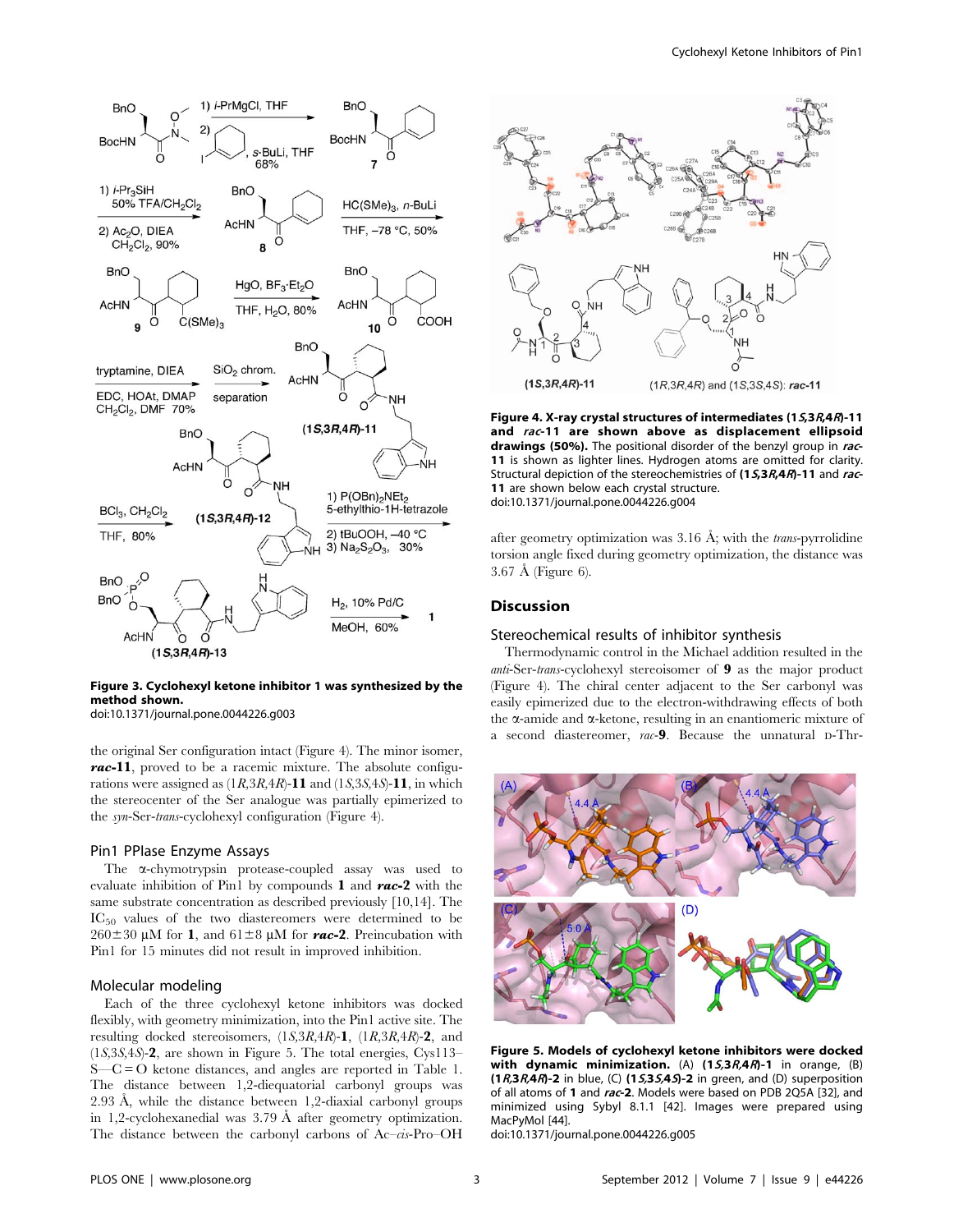

Figure 3. Cyclohexyl ketone inhibitor 1 was synthesized by the method shown.

doi:10.1371/journal.pone.0044226.g003

the original Ser configuration intact (Figure 4). The minor isomer, rac-11, proved to be a racemic mixture. The absolute configurations were assigned as  $(1R,3R,4R)$ -11 and  $(1S,3S,4S)$ -11, in which the stereocenter of the Ser analogue was partially epimerized to the syn-Ser-trans-cyclohexyl configuration (Figure 4).

#### Pin1 PPIase Enzyme Assays

The x-chymotrypsin protease-coupled assay was used to evaluate inhibition of Pin1 by compounds  $1$  and  $rac{rac{1}{2}}$  with the same substrate concentration as described previously [10,14]. The  $IC_{50}$  values of the two diastereomers were determined to be  $260\pm30$  µM for **1**, and  $61\pm8$  µM for **rac-2**. Preincubation with Pin1 for 15 minutes did not result in improved inhibition.

#### Molecular modeling

Each of the three cyclohexyl ketone inhibitors was docked flexibly, with geometry minimization, into the Pin1 active site. The resulting docked stereoisomers, (1S,3R,4R)-1, (1R,3R,4R)-2, and (1S,3S,4S)-2, are shown in Figure 5. The total energies, Cys113– S—C = O ketone distances, and angles are reported in Table 1. The distance between 1,2-diequatorial carbonyl groups was 2.93 Å, while the distance between 1,2-diaxial carbonyl groups in 1,2-cyclohexanedial was 3.79 Å after geometry optimization. The distance between the carbonyl carbons of Ac–cis-Pro–OH



Figure 4. X-ray crystal structures of intermediates (1S,3R,4R)-11 and rac-11 are shown above as displacement ellipsoid drawings (50%). The positional disorder of the benzyl group in rac-11 is shown as lighter lines. Hydrogen atoms are omitted for clarity. Structural depiction of the stereochemistries of (1S,3R,4R)-11 and rac-11 are shown below each crystal structure. doi:10.1371/journal.pone.0044226.g004

after geometry optimization was  $3.16$  Å; with the *trans*-pyrrolidine torsion angle fixed during geometry optimization, the distance was  $3.67 \text{ Å}$  (Figure 6).

## **Discussion**

## Stereochemical results of inhibitor synthesis

Thermodynamic control in the Michael addition resulted in the anti-Ser-trans-cyclohexyl stereoisomer of 9 as the major product (Figure 4). The chiral center adjacent to the Ser carbonyl was easily epimerized due to the electron-withdrawing effects of both the  $\alpha$ -amide and  $\alpha$ -ketone, resulting in an enantiomeric mixture of a second diastereomer, rac-9. Because the unnatural D-Thr-



Figure 5. Models of cyclohexyl ketone inhibitors were docked with dynamic minimization. (A)  $(15,3R,4R)$ -1 in orange, (B)  $(1R,3R,4R)$ -2 in blue, (C)  $(15,35,45)$ -2 in green, and (D) superposition of all atoms of 1 and rac-2. Models were based on PDB 2Q5A [32], and minimized using Sybyl 8.1.1 [42]. Images were prepared using MacPyMol [44].

doi:10.1371/journal.pone.0044226.g005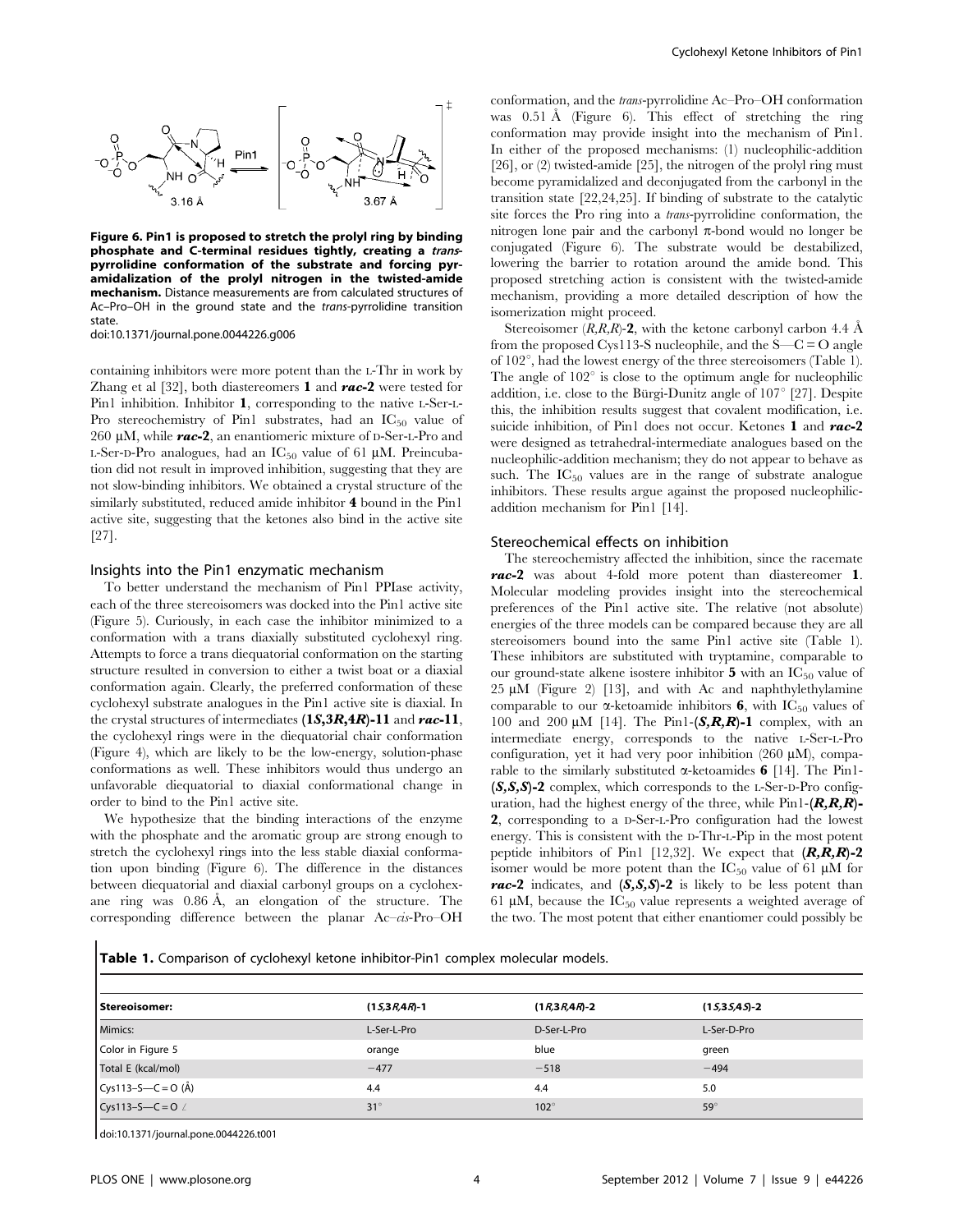

Figure 6. Pin1 is proposed to stretch the prolyl ring by binding phosphate and C-terminal residues tightly, creating a transpyrrolidine conformation of the substrate and forcing pyramidalization of the prolyl nitrogen in the twisted-amide mechanism. Distance measurements are from calculated structures of Ac–Pro–OH in the ground state and the trans-pyrrolidine transition state.

doi:10.1371/journal.pone.0044226.g006

containing inhibitors were more potent than the L-Thr in work by Zhang et al  $[32]$ , both diastereomers 1 and  $rac{rac{1}{2}}{rac{1}{2}}$  were tested for Pin1 inhibition. Inhibitor 1, corresponding to the native L-Ser-L-Pro stereochemistry of Pin1 substrates, had an  $IC_{50}$  value of 260  $\mu$ M, while **rac-2**, an enantiomeric mixture of D-Ser-L-Pro and L-Ser-D-Pro analogues, had an  $IC_{50}$  value of 61  $\mu$ M. Preincubation did not result in improved inhibition, suggesting that they are not slow-binding inhibitors. We obtained a crystal structure of the similarly substituted, reduced amide inhibitor 4 bound in the Pin1 active site, suggesting that the ketones also bind in the active site [27].

## Insights into the Pin1 enzymatic mechanism

To better understand the mechanism of Pin1 PPIase activity, each of the three stereoisomers was docked into the Pin1 active site (Figure 5). Curiously, in each case the inhibitor minimized to a conformation with a trans diaxially substituted cyclohexyl ring. Attempts to force a trans diequatorial conformation on the starting structure resulted in conversion to either a twist boat or a diaxial conformation again. Clearly, the preferred conformation of these cyclohexyl substrate analogues in the Pin1 active site is diaxial. In the crystal structures of intermediates  $(1S, 3R, 4R)$ -11 and  $rac{-11}{2}$ , the cyclohexyl rings were in the diequatorial chair conformation (Figure 4), which are likely to be the low-energy, solution-phase conformations as well. These inhibitors would thus undergo an unfavorable diequatorial to diaxial conformational change in order to bind to the Pin1 active site.

We hypothesize that the binding interactions of the enzyme with the phosphate and the aromatic group are strong enough to stretch the cyclohexyl rings into the less stable diaxial conformation upon binding (Figure 6). The difference in the distances between diequatorial and diaxial carbonyl groups on a cyclohexane ring was 0.86 Å, an elongation of the structure. The corresponding difference between the planar Ac-cis-Pro-OH

conformation, and the trans-pyrrolidine Ac–Pro–OH conformation was  $0.51 \text{ Å}$  (Figure 6). This effect of stretching the ring conformation may provide insight into the mechanism of Pin1. In either of the proposed mechanisms: (1) nucleophilic-addition [26], or (2) twisted-amide [25], the nitrogen of the prolyl ring must become pyramidalized and deconjugated from the carbonyl in the transition state [22,24,25]. If binding of substrate to the catalytic site forces the Pro ring into a trans-pyrrolidine conformation, the nitrogen lone pair and the carbonyl  $\pi$ -bond would no longer be conjugated (Figure 6). The substrate would be destabilized, lowering the barrier to rotation around the amide bond. This proposed stretching action is consistent with the twisted-amide mechanism, providing a more detailed description of how the isomerization might proceed.

Stereoisomer  $(R, R, R)$ -2, with the ketone carbonyl carbon 4.4  $\AA$ from the proposed Cys113-S nucleophile, and the  $S - C = O$  angle of  $102^\circ$ , had the lowest energy of the three stereoisomers (Table 1). The angle of  $102^{\circ}$  is close to the optimum angle for nucleophilic addition, i.e. close to the Bürgi-Dunitz angle of  $107^{\circ}$  [27]. Despite this, the inhibition results suggest that covalent modification, i.e. suicide inhibition, of Pin1 does not occur. Ketones 1 and rac-2 were designed as tetrahedral-intermediate analogues based on the nucleophilic-addition mechanism; they do not appear to behave as such. The  $IC_{50}$  values are in the range of substrate analogue inhibitors. These results argue against the proposed nucleophilicaddition mechanism for Pin1 [14].

## Stereochemical effects on inhibition

The stereochemistry affected the inhibition, since the racemate rac-2 was about 4-fold more potent than diastereomer 1. Molecular modeling provides insight into the stereochemical preferences of the Pin1 active site. The relative (not absolute) energies of the three models can be compared because they are all stereoisomers bound into the same Pin1 active site (Table 1). These inhibitors are substituted with tryptamine, comparable to our ground-state alkene isostere inhibitor  $5$  with an  $IC_{50}$  value of  $25 \mu M$  (Figure 2) [13], and with Ac and naphthylethylamine comparable to our  $\alpha$ -ketoamide inhibitors 6, with IC<sub>50</sub> values of 100 and 200  $\mu$ M [14]. The Pin1- $(S, R, R)$ -1 complex, with an intermediate energy, corresponds to the native L-Ser-L-Pro configuration, yet it had very poor inhibition  $(260 \mu M)$ , comparable to the similarly substituted  $\alpha$ -ketoamides 6 [14]. The Pin1-(S,S,S)-2 complex, which corresponds to the L-Ser-D-Pro configuration, had the highest energy of the three, while  $\text{Pin}1-\langle \mathbf{R}, \mathbf{R}, \mathbf{R} \rangle$ -2, corresponding to a D-Ser-L-Pro configuration had the lowest energy. This is consistent with the D-Thr-L-Pip in the most potent peptide inhibitors of Pin1 [12,32]. We expect that  $(R, R, R)$ -2 isomer would be more potent than the  $IC_{50}$  value of 61 µM for  $rac{-2}{\text{indicates}}$ , and  $(S, S, S)$ -2 is likely to be less potent than 61  $\mu$ M, because the IC<sub>50</sub> value represents a weighted average of the two. The most potent that either enantiomer could possibly be

Table 1. Comparison of cyclohexyl ketone inhibitor-Pin1 complex molecular models.

| <b>Stereoisomer:</b>                   | $(15,3R,4R) - 1$ | $(1R, 3R, 4R) - 2$ | $(15,35,45)-2$ |
|----------------------------------------|------------------|--------------------|----------------|
| Mimics:                                | L-Ser-L-Pro      | D-Ser-L-Pro        | L-Ser-D-Pro    |
| Color in Figure 5                      | orange           | blue               | green          |
| Total E (kcal/mol)                     | $-477$           | $-518$             | $-494$         |
| Cys113–S—C = O (Å)<br>Cys113–S—C = O ∠ | 4.4              | 4.4                | 5.0            |
|                                        | $31^\circ$       | $102^\circ$        | $59^\circ$     |

doi:10.1371/journal.pone.0044226.t001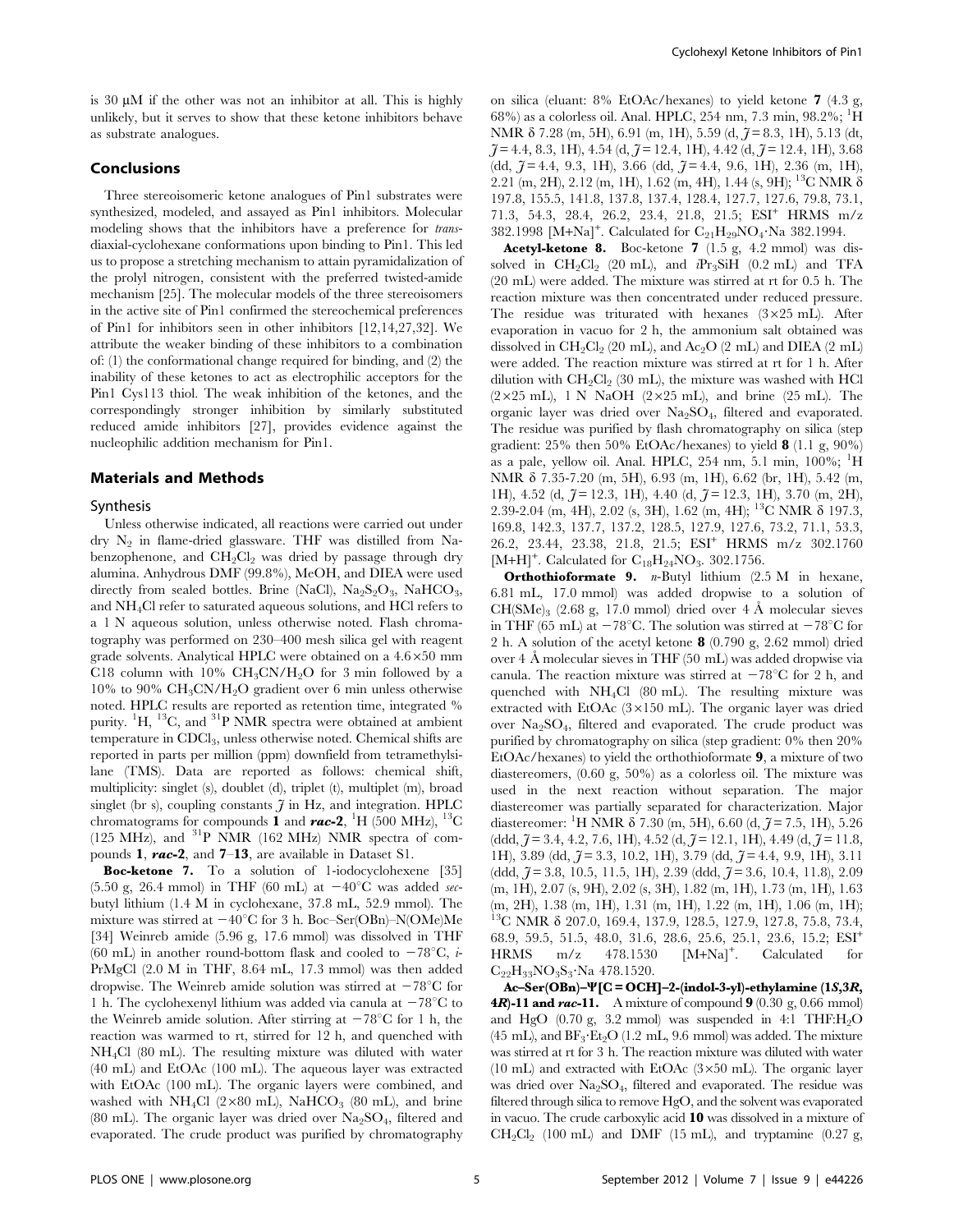is 30  $\mu$ M if the other was not an inhibitor at all. This is highly unlikely, but it serves to show that these ketone inhibitors behave as substrate analogues.

# Conclusions

Three stereoisomeric ketone analogues of Pin1 substrates were synthesized, modeled, and assayed as Pin1 inhibitors. Molecular modeling shows that the inhibitors have a preference for transdiaxial-cyclohexane conformations upon binding to Pin1. This led us to propose a stretching mechanism to attain pyramidalization of the prolyl nitrogen, consistent with the preferred twisted-amide mechanism [25]. The molecular models of the three stereoisomers in the active site of Pin1 confirmed the stereochemical preferences of Pin1 for inhibitors seen in other inhibitors [12,14,27,32]. We attribute the weaker binding of these inhibitors to a combination of: (1) the conformational change required for binding, and (2) the inability of these ketones to act as electrophilic acceptors for the Pin1 Cys113 thiol. The weak inhibition of the ketones, and the correspondingly stronger inhibition by similarly substituted reduced amide inhibitors [27], provides evidence against the nucleophilic addition mechanism for Pin1.

#### Materials and Methods

#### Synthesis

Unless otherwise indicated, all reactions were carried out under dry  $N_2$  in flame-dried glassware. THF was distilled from Nabenzophenone, and  $CH_2Cl_2$  was dried by passage through dry alumina. Anhydrous DMF (99.8%), MeOH, and DIEA were used directly from sealed bottles. Brine (NaCl),  $\text{Na}_2\text{S}_2\text{O}_3$ ,  $\text{Na}HCO_3$ , and NH4Cl refer to saturated aqueous solutions, and HCl refers to a 1 N aqueous solution, unless otherwise noted. Flash chromatography was performed on 230–400 mesh silica gel with reagent grade solvents. Analytical HPLC were obtained on a  $4.6 \times 50$  mm C18 column with 10%  $CH_3CN/H_2O$  for 3 min followed by a 10% to 90%  $CH_3CN/H_2O$  gradient over 6 min unless otherwise noted. HPLC results are reported as retention time, integrated % purity.  ${}^{1}H$ ,  ${}^{13}C$ , and  ${}^{31}P$  NMR spectra were obtained at ambient temperature in CDCl<sub>3</sub>, unless otherwise noted. Chemical shifts are reported in parts per million (ppm) downfield from tetramethylsilane (TMS). Data are reported as follows: chemical shift, multiplicity: singlet (s), doublet (d), triplet (t), multiplet (m), broad singlet (br s), coupling constants  $\tilde{\jmath}$  in Hz, and integration. HPLC chromatograms for compounds  $\hat{1}$  and  $rac{rac}{2}$ ,  ${}^{1}H$  (500 MHz),  ${}^{13}C$ (125 MHz), and  $^{31}P$  NMR (162 MHz) NMR spectra of compounds 1, rac-2, and 7–13, are available in Dataset S1.

Boc-ketone 7. To a solution of 1-iodocyclohexene [35]  $(5.50 \text{ g}, 26.4 \text{ mmol})$  in THF  $(60 \text{ mL})$  at  $-40^{\circ}\text{C}$  was added secbutyl lithium (1.4 M in cyclohexane, 37.8 mL, 52.9 mmol). The mixture was stirred at  $-40^{\circ}$ C for 3 h. Boc–Ser(OBn)–N(OMe)Me [34] Weinreb amide (5.96 g, 17.6 mmol) was dissolved in THF (60 mL) in another round-bottom flask and cooled to  $-78^{\circ}$ C, *i*-PrMgCl (2.0 M in THF, 8.64 mL, 17.3 mmol) was then added dropwise. The Weinreb amide solution was stirred at  $-78^{\circ}$ C for 1 h. The cyclohexenyl lithium was added via canula at  $-78^{\circ}$ C to the Weinreb amide solution. After stirring at  $-78^{\circ}$ C for 1 h, the reaction was warmed to rt, stirred for 12 h, and quenched with NH4Cl (80 mL). The resulting mixture was diluted with water (40 mL) and EtOAc (100 mL). The aqueous layer was extracted with EtOAc (100 mL). The organic layers were combined, and washed with NH<sub>4</sub>Cl ( $2\times80$  mL), NaHCO<sub>3</sub> (80 mL), and brine (80 mL). The organic layer was dried over  $Na<sub>2</sub>SO<sub>4</sub>$ , filtered and evaporated. The crude product was purified by chromatography

on silica (eluant: 8% EtOAc/hexanes) to yield ketone 7 (4.3 g, 68%) as a colorless oil. Anal. HPLC, 254 nm, 7.3 min, 98.2%; <sup>1</sup>H NMR δ 7.28 (m, 5H), 6.91 (m, 1H), 5.59 (d,  $\tilde{\jmath}$  = 8.3, 1H), 5.13 (dt,  $\tilde{J} = 4.4, 8.3, 1H$ ,  $4.54$  (d,  $\tilde{J} = 12.4, 1H$ ),  $4.42$  (d,  $\tilde{J} = 12.4, 1H$ ),  $3.68$ (dd,  $\tilde{\jmath}$  = 4.4, 9.3, 1H), 3.66 (dd,  $\tilde{\jmath}$  = 4.4, 9.6, 1H), 2.36 (m, 1H), 2.21 (m, 2H), 2.12 (m, 1H), 1.62 (m, 4H), 1.44 (s, 9H); 13C NMR d 197.8, 155.5, 141.8, 137.8, 137.4, 128.4, 127.7, 127.6, 79.8, 73.1, 71.3, 54.3, 28.4, 26.2, 23.4, 21.8, 21.5; ESI<sup>+</sup> HRMS m/z 382.1998 [M+Na]<sup>+</sup>. Calculated for  $C_{21}H_{29}NO_4$ ·Na 382.1994.

Acetyl-ketone 8. Boc-ketone 7 (1.5 g, 4.2 mmol) was dissolved in  $CH_2Cl_2$  (20 mL), and  $iPr_3SiH$  (0.2 mL) and TFA (20 mL) were added. The mixture was stirred at rt for 0.5 h. The reaction mixture was then concentrated under reduced pressure. The residue was triturated with hexanes  $(3\times25 \text{ mL})$ . After evaporation in vacuo for 2 h, the ammonium salt obtained was dissolved in  $CH_2Cl_2$  (20 mL), and Ac<sub>2</sub>O (2 mL) and DIEA (2 mL) were added. The reaction mixture was stirred at rt for 1 h. After dilution with  $CH_2Cl_2$  (30 mL), the mixture was washed with HCl  $(2\times25 \text{ mL})$ , 1 N NaOH  $(2\times25 \text{ mL})$ , and brine (25 mL). The organic layer was dried over  $Na<sub>2</sub>SO<sub>4</sub>$ , filtered and evaporated. The residue was purified by flash chromatography on silica (step gradient:  $25\%$  then  $50\%$  EtOAc/hexanes) to yield **8** (1.1 g,  $90\%$ ) as a pale, yellow oil. Anal. HPLC, 254 nm, 5.1 min, 100%; <sup>1</sup>H NMR d 7.35-7.20 (m, 5H), 6.93 (m, 1H), 6.62 (br, 1H), 5.42 (m, 1H), 4.52 (d,  $\tilde{\jmath} = 12.3$ , 1H), 4.40 (d,  $\tilde{\jmath} = 12.3$ , 1H), 3.70 (m, 2H), 2.39-2.04 (m, 4H), 2.02 (s, 3H), 1.62 (m, 4H); <sup>13</sup>C NMR  $\delta$  197.3, 169.8, 142.3, 137.7, 137.2, 128.5, 127.9, 127.6, 73.2, 71.1, 53.3, 26.2, 23.44, 23.38, 21.8, 21.5; ESI<sup>+</sup> HRMS m/z 302.1760  $[M+H]$ <sup>+</sup>. Calculated for  $C_{18}H_{24}NO_3$ . 302.1756.

**Orthothioformate 9.** *n*-Butyl lithium  $(2.5 M)$  in hexane, 6.81 mL, 17.0 mmol) was added dropwise to a solution of  $CH(SMe)_{3}$  (2.68 g, 17.0 mmol) dried over 4 Å molecular sieves in THF (65 mL) at  $-78^{\circ}$ C. The solution was stirred at  $-78^{\circ}$ C for 2 h. A solution of the acetyl ketone 8 (0.790 g, 2.62 mmol) dried over 4 Å molecular sieves in THF (50 mL) was added dropwise via canula. The reaction mixture was stirred at  $-78^{\circ}$ C for 2 h, and quenched with NH4Cl (80 mL). The resulting mixture was extracted with EtOAc  $(3\times150 \text{ mL})$ . The organic layer was dried over  $Na<sub>2</sub>SO<sub>4</sub>$ , filtered and evaporated. The crude product was purified by chromatography on silica (step gradient: 0% then 20% EtOAc/hexanes) to yield the orthothioformate 9, a mixture of two diastereomers, (0.60 g, 50%) as a colorless oil. The mixture was used in the next reaction without separation. The major diastereomer was partially separated for characterization. Major diastereomer: <sup>1</sup>H NMR  $\delta$  7.30 (m, 5H), 6.60 (d,  $\tilde{\jmath} = 7.5, 1$ H), 5.26  $(\text{ddd}, \tilde{J} = 3.4, 4.2, 7.6, 1H), 4.52 \ (\text{d}, \tilde{J} = 12.1, 1H), 4.49 \ (\text{d}, \tilde{J} = 11.8,$ 1H), 3.89 (dd,  $\tilde{\jmath}$  = 3.3, 10.2, 1H), 3.79 (dd,  $\tilde{\jmath}$  = 4.4, 9.9, 1H), 3.11  $(\text{ddd}, \tilde{\jmath} = 3.8, 10.5, 11.5, 1H), 2.39 \text{ (ddd}, \tilde{\jmath} = 3.6, 10.4, 11.8), 2.09$ (m, 1H), 2.07 (s, 9H), 2.02 (s, 3H), 1.82 (m, 1H), 1.73 (m, 1H), 1.63 (m, 2H), 1.38 (m, 1H), 1.31 (m, 1H), 1.22 (m, 1H), 1.06 (m, 1H); <sup>13</sup>C NMR δ 207.0, 169.4, 137.9, 128.5, 127.9, 127.8, 75.8, 73.4, 68.9, 59.5, 51.5, 48.0, 31.6, 28.6, 25.6, 25.1, 23.6, 15.2; ESI<sup>+</sup> HRMS m/z 478.1530 [M+Na]<sup>+</sup>. Calculated for  $C_{22}H_{33}NO_3S_3 \cdot Na$  478.1520.

 $Ac-Ser(OBn)-\Psi[C=OCH]-2-(indol-3-yl)-ethylamine (1S,3R,$ **4R)-11 and rac-11.** A mixture of compound  $9(0.30 \text{ g}, 0.66 \text{ mmol})$ and HgO  $(0.70 \text{ g}, 3.2 \text{ mmol})$  was suspended in 4:1 THF: $H_2O$ (45 mL), and  $BF_3E_2O$  (1.2 mL, 9.6 mmol) was added. The mixture was stirred at rt for 3 h. The reaction mixture was diluted with water (10 mL) and extracted with EtOAc  $(3\times50$  mL). The organic layer was dried over  $Na<sub>2</sub>SO<sub>4</sub>$ , filtered and evaporated. The residue was filtered through silica to remove HgO, and the solvent was evaporated in vacuo. The crude carboxylic acid 10 was dissolved in a mixture of  $CH_2Cl_2$  (100 mL) and DMF (15 mL), and tryptamine (0.27 g,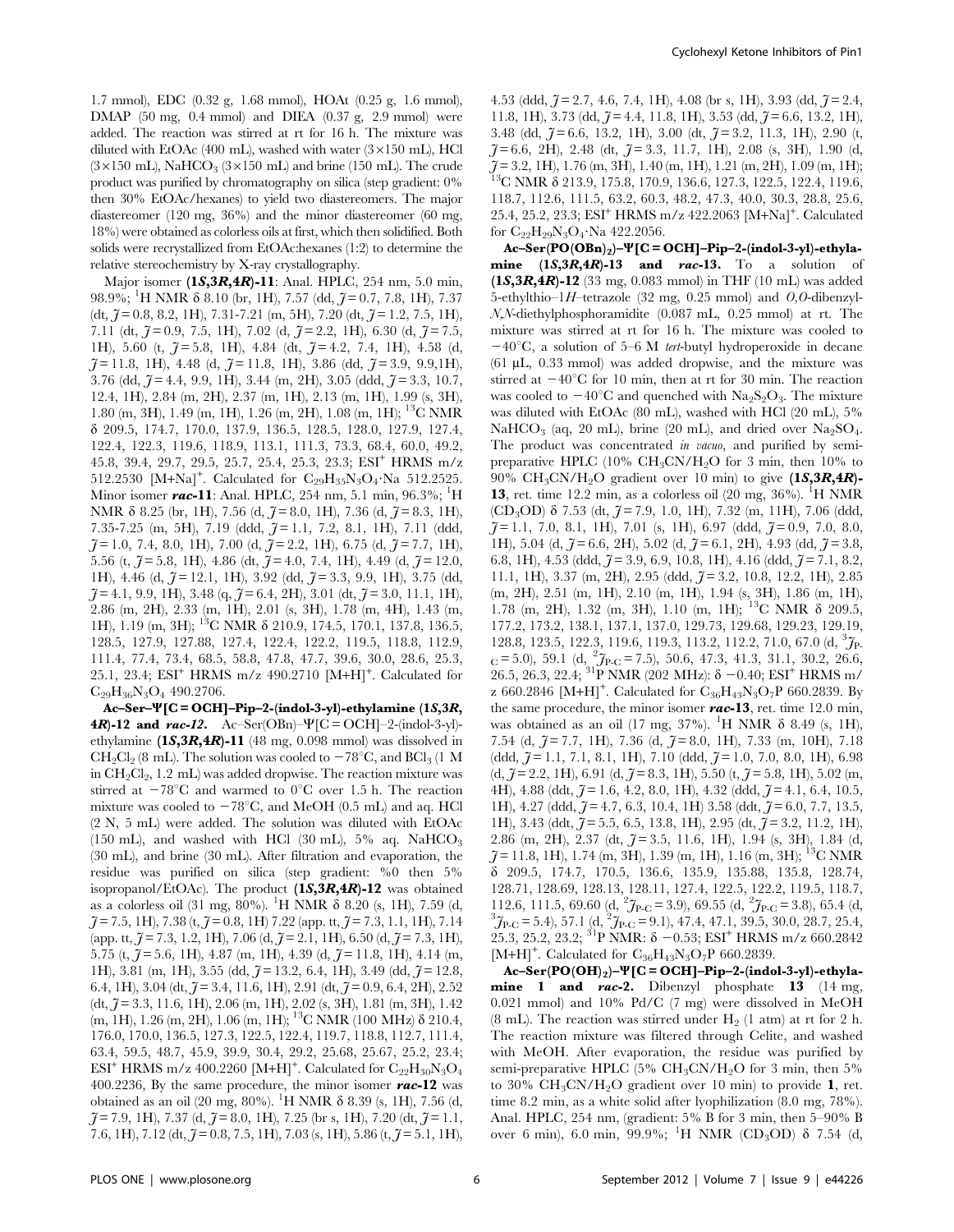1.7 mmol), EDC (0.32 g, 1.68 mmol), HOAt (0.25 g, 1.6 mmol), DMAP (50 mg, 0.4 mmol) and DIEA (0.37 g, 2.9 mmol) were added. The reaction was stirred at rt for 16 h. The mixture was diluted with EtOAc (400 mL), washed with water  $(3 \times 150 \text{ mL})$ , HCl  $(3\times150 \text{ mL})$ , NaHCO<sub>3</sub>  $(3\times150 \text{ mL})$  and brine (150 mL). The crude product was purified by chromatography on silica (step gradient: 0% then 30% EtOAc/hexanes) to yield two diastereomers. The major diastereomer (120 mg, 36%) and the minor diastereomer (60 mg, 18%) were obtained as colorless oils at first, which then solidified. Both solids were recrystallized from EtOAc:hexanes (1:2) to determine the relative stereochemistry by X-ray crystallography.

Major isomer (1S,3R,4R)-11: Anal. HPLC, 254 nm, 5.0 min, 98.9%; <sup>1</sup>H NMR  $\delta$  8.10 (br, 1H), 7.57 (dd,  $\tilde{\jmath}$  = 0.7, 7.8, 1H), 7.37 (dt,  $\tilde{\jmath} = 0.8, 8.2, 1H$ ), 7.31-7.21 (m, 5H), 7.20 (dt,  $\tilde{\jmath} = 1.2, 7.5, 1H$ ), 7.11 (dt,  $\tilde{\jmath} = 0.9, 7.5, 1H$ ), 7.02 (d,  $\tilde{\jmath} = 2.2, 1H$ ), 6.30 (d,  $\tilde{\jmath} = 7.5$ , 1H), 5.60 (t,  $\tilde{\jmath} = 5.8$ , 1H), 4.84 (dt,  $\tilde{\jmath} = 4.2$ , 7.4, 1H), 4.58 (d,  $\tilde{\jmath} = 11.8, 1H$ , 4.48 (d,  $\tilde{\jmath} = 11.8, 1H$ ), 3.86 (dd,  $\tilde{\jmath} = 3.9, 9.9, 1H$ ), 3.76 (dd,  $\tilde{\jmath}$  = 4.4, 9.9, 1H), 3.44 (m, 2H), 3.05 (ddd,  $\tilde{\jmath}$  = 3.3, 10.7, 12.4, 1H), 2.84 (m, 2H), 2.37 (m, 1H), 2.13 (m, 1H), 1.99 (s, 3H), 1.80 (m, 3H), 1.49 (m, 1H), 1.26 (m, 2H), 1.08 (m, 1H); 13C NMR d 209.5, 174.7, 170.0, 137.9, 136.5, 128.5, 128.0, 127.9, 127.4, 122.4, 122.3, 119.6, 118.9, 113.1, 111.3, 73.3, 68.4, 60.0, 49.2, 45.8, 39.4, 29.7, 29.5, 25.7, 25.4, 25.3, 23.3; ESI<sup>+</sup> HRMS m/z 512.2530 [M+Na]<sup>+</sup>. Calculated for  $C_{29}H_{35}N_3O_4$ ·Na 512.2525. Minor isomer *rac*-11: Anal. HPLC, 254 nm, 5.1 min, 96.3%; <sup>1</sup>H NMR  $\delta$  8.25 (br, 1H), 7.56 (d,  $\tilde{\jmath}$  = 8.0, 1H), 7.36 (d,  $\tilde{\jmath}$  = 8.3, 1H), 7.35-7.25 (m, 5H), 7.19 (ddd,  $\tilde{J}$ = 1.1, 7.2, 8.1, 1H), 7.11 (ddd,  $\tilde{J} = 1.0, 7.4, 8.0, 1H$ , 7.00 (d,  $\tilde{J} = 2.2, 1H$ ), 6.75 (d,  $\tilde{J} = 7.7, 1H$ ), 5.56 (t,  $\tilde{\jmath}$  = 5.8, 1H), 4.86 (dt,  $\tilde{\jmath}$  = 4.0, 7.4, 1H), 4.49 (d,  $\tilde{\jmath}$  = 12.0, 1H), 4.46 (d,  $\tilde{\jmath}$  = 12.1, 1H), 3.92 (dd,  $\tilde{\jmath}$  = 3.3, 9.9, 1H), 3.75 (dd,  $\tilde{\jmath}$  = 4.1, 9.9, 1H), 3.48 (q,  $\tilde{\jmath}$  = 6.4, 2H), 3.01 (dt,  $\tilde{\jmath}$  = 3.0, 11.1, 1H), 2.86 (m, 2H), 2.33 (m, 1H), 2.01 (s, 3H), 1.78 (m, 4H), 1.43 (m, 1H), 1.19 (m, 3H); <sup>13</sup>C NMR δ 210.9, 174.5, 170.1, 137.8, 136.5, 128.5, 127.9, 127.88, 127.4, 122.4, 122.2, 119.5, 118.8, 112.9, 111.4, 77.4, 73.4, 68.5, 58.8, 47.8, 47.7, 39.6, 30.0, 28.6, 25.3, 25.1, 23.4; ESI<sup>+</sup> HRMS m/z 490.2710 [M+H]<sup>+</sup> . Calculated for  $C_{29}H_{36}N_3O_4$  490.2706.

 $Ac-Ser-\Psi[C=OCH]-Pip-2-(indol-3-yl)-ethylamine (1S,3R,$ **4R)-12 and rac-12.** Ac–Ser(OBn)– $\Psi$ [C = OCH]–2-(indol-3-yl)ethylamine  $(1S, 3R, 4R)$ -11 (48 mg, 0.098 mmol) was dissolved in  $CH_2Cl_2 (8 \text{ mL})$ . The solution was cooled to  $-78^{\circ}\text{C}$ , and  $BCl_3 (1 \text{ M})$ in  $CH_2Cl_2$ , 1.2 mL) was added dropwise. The reaction mixture was stirred at  $-78^{\circ}$ C and warmed to 0<sup>°</sup>C over 1.5 h. The reaction mixture was cooled to  $-78^{\circ}$ C, and MeOH (0.5 mL) and aq. HCl (2 N, 5 mL) were added. The solution was diluted with EtOAc (150 mL), and washed with HCl (30 mL), 5% aq. NaHCO<sub>3</sub> (30 mL), and brine (30 mL). After filtration and evaporation, the residue was purified on silica (step gradient: %0 then 5% isopropanol/EtOAc). The product (1S,3R,4R)-12 was obtained as a colorless oil  $(31 \text{ mg}, 80\%)$ . <sup>1</sup>H NMR  $\delta$  8.20 (s, 1H), 7.59 (d,  $\tilde{\jmath}$  = 7.5, 1H), 7.38 (t,  $\tilde{\jmath}$  = 0.8, 1H) 7.22 (app. tt,  $\tilde{\jmath}$  = 7.3, 1.1, 1H), 7.14 (app. tt,  $\tilde{\jmath}$  = 7.3, 1.2, 1H), 7.06 (d,  $\tilde{\jmath}$  = 2.1, 1H), 6.50 (d,  $\tilde{\jmath}$  = 7.3, 1H), 5.75 (t,  $\tilde{\jmath}$  = 5.6, 1H), 4.87 (m, 1H), 4.39 (d,  $\tilde{\jmath}$  = 11.8, 1H), 4.14 (m, 1H), 3.81 (m, 1H), 3.55 (dd,  $\tilde{\jmath}$  = 13.2, 6.4, 1H), 3.49 (dd,  $\tilde{\jmath}$  = 12.8, 6.4, 1H), 3.04 (dt,  $\tilde{\jmath}$  = 3.4, 11.6, 1H), 2.91 (dt,  $\tilde{\jmath}$  = 0.9, 6.4, 2H), 2.52  $(dt, \tilde{\jmath} = 3.3, 11.6, 1H), 2.06$  (m, 1H), 2.02 (s, 3H), 1.81 (m, 3H), 1.42 (m, 1H), 1.26 (m, 2H), 1.06 (m, 1H); <sup>13</sup>C NMR (100 MHz) δ 210.4, 176.0, 170.0, 136.5, 127.3, 122.5, 122.4, 119.7, 118.8, 112.7, 111.4, 63.4, 59.5, 48.7, 45.9, 39.9, 30.4, 29.2, 25.68, 25.67, 25.2, 23.4;  $\mathrm{ESI}^+$  HRMS m/z 400.2260 [M+H]<sup>+</sup>. Calculated for  $\mathrm{C}_{22}\mathrm{H}_{30}\mathrm{N}_3\mathrm{O}_4$ 400.2236, By the same procedure, the minor isomer  $rac{-12}{ }$  was obtained as an oil (20 mg, 80%). <sup>1</sup>H NMR δ 8.39 (s, 1H), 7.56 (d,  $\tilde{\jmath}$  = 7.9, 1H), 7.37 (d,  $\tilde{\jmath}$  = 8.0, 1H), 7.25 (br s, 1H), 7.20 (dt,  $\tilde{\jmath}$  = 1.1, 7.6, 1H), 7.12 (dt,  $\tilde{\jmath} = 0.8$ , 7.5, 1H), 7.03 (s, 1H), 5.86 (t,  $\tilde{\jmath} = 5.1$ , 1H),

4.53 (ddd,  $\tilde{\jmath}$  = 2.7, 4.6, 7.4, 1H), 4.08 (br s, 1H), 3.93 (dd,  $\tilde{\jmath}$  = 2.4, 11.8, 1H), 3.73 (dd,  $\tilde{\jmath}$  = 4.4, 11.8, 1H), 3.53 (dd,  $\tilde{\jmath}$  = 6.6, 13.2, 1H), 3.48 (dd,  $\tilde{\jmath}$  = 6.6, 13.2, 1H), 3.00 (dt,  $\tilde{\jmath}$  = 3.2, 11.3, 1H), 2.90 (t,  $\tilde{J}= 6.6, 2H$ , 2.48 (dt,  $\tilde{J}= 3.3, 11.7, 1H$ ), 2.08 (s, 3H), 1.90 (d,  $\widetilde{\jmath}$  = 3.2, 1H), 1.76 (m, 3H), 1.40 (m, 1H), 1.21 (m, 2H), 1.09 (m, 1H); <sup>13</sup>C NMR  $\delta$  213.9, 175.8, 170.9, 136.6, 127.3, 122.5, 122.4, 119.6, 118.7, 112.6, 111.5, 63.2, 60.3, 48.2, 47.3, 40.0, 30.3, 28.8, 25.6, 25.4, 25.2, 23.3; ESI<sup>+</sup> HRMS m/z 422.2063 [M+Na]<sup>+</sup> . Calculated for  $C_{22}H_{29}N_3O_4$  Na 422.2056.

 $Ac-Ser(PO(OBn)<sub>2</sub>)-\Psi[C=OCH]-Pip-2-(indol-3-yl)-ethyla$ mine  $(1S, 3R, 4R)$ -13 and rac-13. To a solution of (1S,3R,4R)-12 (33 mg, 0.083 mmol) in THF (10 mL) was added 5-ethylthio–1H–tetrazole (32 mg, 0.25 mmol) and  $O$ ,  $O$ -dibenzyl-N,N-diethylphosphoramidite (0.087 mL, 0.25 mmol) at rt. The mixture was stirred at rt for 16 h. The mixture was cooled to  $-40^{\circ}$ C, a solution of 5–6 M tert-butyl hydroperoxide in decane  $(61 \mu L, 0.33 \text{ mmol})$  was added dropwise, and the mixture was stirred at  $-40^{\circ}$ C for 10 min, then at rt for 30 min. The reaction was cooled to  $-40^{\circ}$ C and quenched with Na<sub>2</sub>S<sub>2</sub>O<sub>3</sub>. The mixture was diluted with EtOAc (80 mL), washed with HCl (20 mL), 5% NaHCO<sub>3</sub> (aq, 20 mL), brine (20 mL), and dried over Na<sub>2</sub>SO<sub>4</sub>. The product was concentrated in vacuo, and purified by semipreparative HPLC (10%  $CH_3CN/H_2O$  for 3 min, then 10% to 90% CH<sub>3</sub>CN/H<sub>2</sub>O gradient over 10 min) to give  $(1S, 3R, 4R)$ -13, ret. time 12.2 min, as a colorless oil  $(20 \text{ mg}, 36\%)$ . <sup>1</sup>H NMR  $(CD_3OD)$   $\delta$  7.53 (dt,  $\tilde{\jmath}$  = 7.9, 1.0, 1H), 7.32 (m, 11H), 7.06 (ddd,  $\tilde{J} = 1.1, 7.0, 8.1, 1H$ , 7.01 (s, 1H), 6.97 (ddd,  $\tilde{J} = 0.9, 7.0, 8.0$ , 1H), 5.04 (d,  $\tilde{J} = 6.6$ , 2H), 5.02 (d,  $\tilde{J} = 6.1$ , 2H), 4.93 (dd,  $\tilde{J} = 3.8$ , 6.8, 1H), 4.53 (ddd,  $\tilde{\jmath}$  = 3.9, 6.9, 10.8, 1H), 4.16 (ddd,  $\tilde{\jmath}$  = 7.1, 8.2, 11.1, 1H), 3.37 (m, 2H), 2.95 (ddd, J= 3.2, 10.8, 12.2, 1H), 2.85 (m, 2H), 2.51 (m, 1H), 2.10 (m, 1H), 1.94 (s, 3H), 1.86 (m, 1H), 1.78 (m, 2H), 1.32 (m, 3H), 1.10 (m, 1H); 13C NMR d 209.5, 177.2, 173.2, 138.1, 137.1, 137.0, 129.73, 129.68, 129.23, 129.19, 128.8, 123.5, 122.3, 119.6, 119.3, 113.2, 112.2, 71.0, 67.0 (d, <sup>3</sup>J<sub>P</sub>.  $_C = 5.0$ , 59.1 (d,  ${}^{2}J_{P-C} = 7.5$ ), 50.6, 47.3, 41.3, 31.1, 30.2, 26.6, 26.5, 26.3, 22.4; <sup>31</sup>P NMR (202 MHz):  $\delta$  -0.40; ESI<sup>+</sup> HRMS m/ z 660.2846 [M+H]<sup>+</sup>. Calculated for  $C_{36}H_{43}N_3O_7P$  660.2839. By the same procedure, the minor isomer  $rac{-13}{\cdot}$ , ret. time 12.0 min, was obtained as an oil (17 mg, 37%). <sup>1</sup>H NMR  $\delta$  8.49 (s, 1H), 7.54 (d,  $\tilde{\jmath} = 7.7$ , 1H), 7.36 (d,  $\tilde{\jmath} = 8.0$ , 1H), 7.33 (m, 10H), 7.18  $(\text{ddd}, \tilde{\jmath} = 1.1, 7.1, 8.1, 1H), 7.10 (\text{ddd}, \tilde{\jmath} = 1.0, 7.0, 8.0, 1H), 6.98$  $(d, \tilde{\jmath} = 2.2, 1H), 6.91 (d, \tilde{\jmath} = 8.3, 1H), 5.50 (t, \tilde{\jmath} = 5.8, 1H), 5.02 (m,$ 4H), 4.88 (ddt,  $\tilde{J}$ = 1.6, 4.2, 8.0, 1H), 4.32 (ddd,  $\tilde{J}$ = 4.1, 6.4, 10.5, 1H), 4.27 (ddd,  $\tilde{\jmath}$  = 4.7, 6.3, 10.4, 1H) 3.58 (ddt,  $\tilde{\jmath}$  = 6.0, 7.7, 13.5, 1H), 3.43 (ddt,  $\tilde{J}$  = 5.5, 6.5, 13.8, 1H), 2.95 (dt,  $\tilde{J}$  = 3.2, 11.2, 1H), 2.86 (m, 2H), 2.37 (dt,  $\tilde{J}$  = 3.5, 11.6, 1H), 1.94 (s, 3H), 1.84 (d,  $\tilde{J} = 11.8, 1H$ , 1.74 (m, 3H), 1.39 (m, 1H), 1.16 (m, 3H); <sup>13</sup>C NMR d 209.5, 174.7, 170.5, 136.6, 135.9, 135.88, 135.8, 128.74, 128.71, 128.69, 128.13, 128.11, 127.4, 122.5, 122.2, 119.5, 118.7, 112.6, 111.5, 69.60 (d,  ${}^{2}J_{\text{P-C}} = 3.9$ ), 69.55 (d,  ${}^{2}J_{\text{P-C}} = 3.8$ ), 65.4 (d,  ${}^{3}Z_{\text{P-C}} = 5.4$ ), 57, 1 (d,  ${}^{2}Z_{\text{P-C}} = 9.1$ ), 47, 4, 47, 1, 39, 5, 30, 0, 98, 7, 95, 4.  $\tilde{J}_{\text{P-C}}$  = 5.4), 57.1 (d,  $^{2}$  $\tilde{J}_{\text{P-C}}$  = 9.1), 47.4, 47.1, 39.5, 30.0, 28.7, 25.4, 25.3, 25.2, 23.2; <sup>31</sup>P NMR:  $\delta$  -0.53; ESI<sup>+</sup> HRMS m/z 660.2842  $\text{[M+H]}^+$  . Calculated for  $\text{C}_{36}\text{H}_{43}\text{N}_3\text{O}_7\text{P}$  660.2839.

 $Ac-Ser(PO(OH)<sub>2</sub>)-\Psi[C=OCH]-Pip-2-(indol-3-yl)-ethyla$ mine 1 and rac-2. Dibenzyl phosphate 13  $(14 \text{ mg})$ , 0.021 mmol) and 10% Pd/C (7 mg) were dissolved in MeOH  $(8 \text{ mL})$ . The reaction was stirred under H<sub>2</sub> (1 atm) at rt for 2 h. The reaction mixture was filtered through Celite, and washed with MeOH. After evaporation, the residue was purified by semi-preparative HPLC (5% CH<sub>3</sub>CN/H<sub>2</sub>O for 3 min, then 5% to 30%  $CH_3CN/H_2O$  gradient over 10 min) to provide 1, ret. time 8.2 min, as a white solid after lyophilization (8.0 mg, 78%). Anal. HPLC, 254 nm, (gradient: 5% B for 3 min, then 5–90% B over 6 min), 6.0 min, 99.9%; <sup>1</sup>H NMR (CD<sub>3</sub>OD) δ 7.54 (d,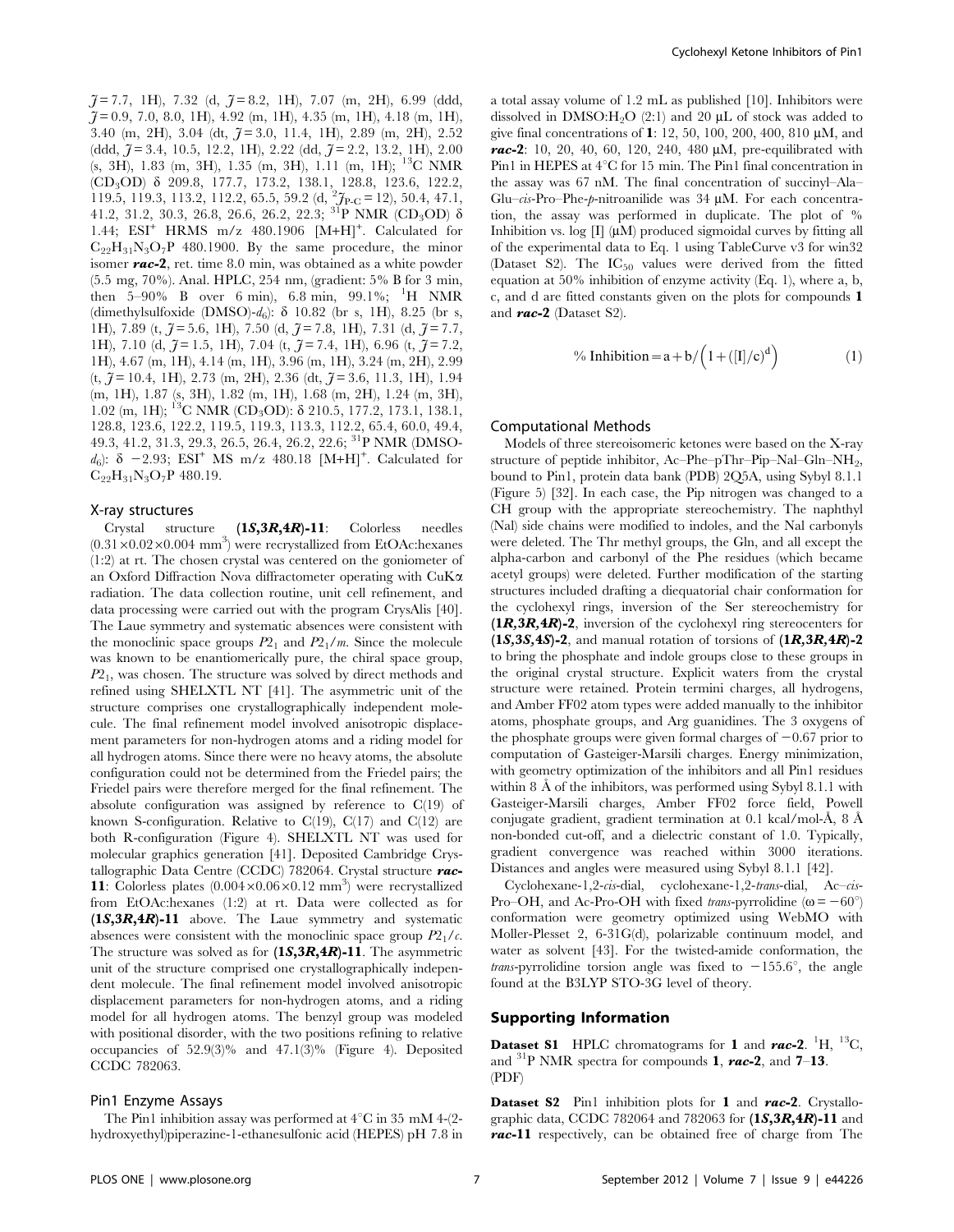$\tilde{J} = 7.7, 1H$ , 7.32 (d,  $\tilde{J} = 8.2, 1H$ ), 7.07 (m, 2H), 6.99 (ddd,  $\tilde{J} = 0.9, 7.0, 8.0, 1H$ , 4.92 (m, 1H), 4.35 (m, 1H), 4.18 (m, 1H), 3.40 (m, 2H), 3.04 (dt,  $\tilde{\jmath} = 3.0$ , 11.4, 1H), 2.89 (m, 2H), 2.52  $(ddd, \tilde{J} = 3.4, 10.5, 12.2, 1H), 2.22 (dd, \tilde{J} = 2.2, 13.2, 1H), 2.00$ (s, 3H), 1.83 (m, 3H), 1.35 (m, 3H), 1.11 (m, 1H); 13C NMR (CD<sub>3</sub>OD) δ 209.8, 177.7, 173.2, 138.1, 128.8, 123.6, 122.2, 119.5, 119.3, 113.2, 112.2, 65.5, 59.2 (d,  ${}^{2}\mathcal{J}_{P-C} = 12$ ), 50.4, 47.1, 41.2, 31.2, 30.3, 26.8, 26.6, 26.2, 22.3; <sup>31</sup>P NMR (CD<sub>3</sub>OD)  $\delta$ 1.44; ESI<sup>+</sup> HRMS m/z 480.1906 [M+H]<sup>+</sup>. Calculated for  $C_{22}H_{31}N_3O_7P$  480.1900. By the same procedure, the minor isomer rac-2, ret. time 8.0 min, was obtained as a white powder (5.5 mg, 70%). Anal. HPLC, 254 nm, (gradient: 5% B for 3 min, then  $5-90\%$  B over 6 min), 6.8 min, 99.1%; <sup>1</sup>H NMR (dimethylsulfoxide (DMSO)- $d_6$ ):  $\delta$  10.82 (br s, 1H), 8.25 (br s, 1H), 7.89 (t,  $\tilde{\jmath} = 5.6$ , 1H), 7.50 (d,  $\tilde{\jmath} = 7.8$ , 1H), 7.31 (d,  $\tilde{\jmath} = 7.7$ , 1H), 7.10 (d,  $\tilde{\jmath}$  = 1.5, 1H), 7.04 (t,  $\tilde{\jmath}$  = 7.4, 1H), 6.96 (t,  $\tilde{\jmath}$  = 7.2, 1H), 4.67 (m, 1H), 4.14 (m, 1H), 3.96 (m, 1H), 3.24 (m, 2H), 2.99  $(t, \tilde{\jmath} = 10.4, 1H), 2.73$  (m, 2H), 2.36 (dt,  $\tilde{\jmath} = 3.6, 11.3, 1H), 1.94$ (m, 1H), 1.87 (s, 3H), 1.82 (m, 1H), 1.68 (m, 2H), 1.24 (m, 3H),  $1.02$  (m, 1H); <sup>13</sup>C NMR (CD<sub>3</sub>OD):  $\delta$  210.5, 177.2, 173.1, 138.1, 128.8, 123.6, 122.2, 119.5, 119.3, 113.3, 112.2, 65.4, 60.0, 49.4, 49.3, 41.2, 31.3, 29.3, 26.5, 26.4, 26.2, 22.6; 31P NMR (DMSO $d_6$ :  $\delta$  -2.93; ESI<sup>+</sup> MS m/z 480.18 [M+H]<sup>+</sup>. Calculated for  $C_{22}H_{31}N_3O_7P$  480.19.

## X-ray structures

Crystal structure (1S,3R,4R)-11: Colorless needles  $(0.31 \times 0.02 \times 0.004 \text{ mm}^3)$  were recrystallized from EtOAc:hexanes (1:2) at rt. The chosen crystal was centered on the goniometer of an Oxford Diffraction Nova diffractometer operating with  $CuK\alpha$ radiation. The data collection routine, unit cell refinement, and data processing were carried out with the program CrysAlis [40]. The Laue symmetry and systematic absences were consistent with the monoclinic space groups  $P2_1$  and  $P2_1/m$ . Since the molecule was known to be enantiomerically pure, the chiral space group,  $P_1$ , was chosen. The structure was solved by direct methods and refined using SHELXTL NT [41]. The asymmetric unit of the structure comprises one crystallographically independent molecule. The final refinement model involved anisotropic displacement parameters for non-hydrogen atoms and a riding model for all hydrogen atoms. Since there were no heavy atoms, the absolute configuration could not be determined from the Friedel pairs; the Friedel pairs were therefore merged for the final refinement. The absolute configuration was assigned by reference to C(19) of known S-configuration. Relative to  $C(19)$ ,  $C(17)$  and  $C(12)$  are both R-configuration (Figure 4). SHELXTL NT was used for molecular graphics generation [41]. Deposited Cambridge Crystallographic Data Centre (CCDC) 782064. Crystal structure  $rac{rac}{rac}$ 11: Colorless plates  $(0.004\times0.06\times0.12$  mm<sup>3</sup>) were recrystallized from EtOAc:hexanes (1:2) at rt. Data were collected as for (1S,3R,4R)-11 above. The Laue symmetry and systematic absences were consistent with the monoclinic space group  $P2_1/c$ . The structure was solved as for  $(1S, 3R, 4R)$ -11. The asymmetric unit of the structure comprised one crystallographically independent molecule. The final refinement model involved anisotropic displacement parameters for non-hydrogen atoms, and a riding model for all hydrogen atoms. The benzyl group was modeled with positional disorder, with the two positions refining to relative occupancies of 52.9(3)% and 47.1(3)% (Figure 4). Deposited CCDC 782063.

#### Pin1 Enzyme Assays

a total assay volume of 1.2 mL as published [10]. Inhibitors were dissolved in DMSO: $H_2O$  (2:1) and 20  $\mu$ L of stock was added to give final concentrations of 1: 12, 50, 100, 200, 400, 810  $\mu$ M, and  $rac{-2: 10, 20, 40, 60, 120, 240, 480 \,\mu M$ , pre-equilibrated with Pin1 in HEPES at  $4^{\circ}$ C for 15 min. The Pin1 final concentration in the assay was 67 nM. The final concentration of succinyl–Ala– Glu–cis-Pro–Phe-p-nitroanilide was 34  $\mu$ M. For each concentration, the assay was performed in duplicate. The plot of % Inhibition vs. log  $\Pi$  ( $\mu$ M) produced sigmoidal curves by fitting all of the experimental data to Eq. 1 using TableCurve v3 for win32 (Dataset S2). The  $IC_{50}$  values were derived from the fitted equation at 50% inhibition of enzyme activity (Eq. 1), where a, b, c, and d are fitted constants given on the plots for compounds 1 and **rac-2** (Dataset S2).

<sup>9</sup> Inhibition = 
$$
a + b / (1 + ([I]/c)^d)
$$
 (1)

#### Computational Methods

Models of three stereoisomeric ketones were based on the X-ray structure of peptide inhibitor, Ac–Phe–pThr–Pip–Nal–Gln–NH2, bound to Pin1, protein data bank (PDB) 2Q5A, using Sybyl 8.1.1 (Figure 5) [32]. In each case, the Pip nitrogen was changed to a CH group with the appropriate stereochemistry. The naphthyl (Nal) side chains were modified to indoles, and the Nal carbonyls were deleted. The Thr methyl groups, the Gln, and all except the alpha-carbon and carbonyl of the Phe residues (which became acetyl groups) were deleted. Further modification of the starting structures included drafting a diequatorial chair conformation for the cyclohexyl rings, inversion of the Ser stereochemistry for  $(1R,3R,4R)$ -2, inversion of the cyclohexyl ring stereocenters for  $(1S, 3S, 4S)$ -2, and manual rotation of torsions of  $(1R, 3R, 4R)$ -2 to bring the phosphate and indole groups close to these groups in the original crystal structure. Explicit waters from the crystal structure were retained. Protein termini charges, all hydrogens, and Amber FF02 atom types were added manually to the inhibitor atoms, phosphate groups, and Arg guanidines. The 3 oxygens of the phosphate groups were given formal charges of  $-0.67$  prior to computation of Gasteiger-Marsili charges. Energy minimization, with geometry optimization of the inhibitors and all Pin1 residues within  $8 \text{ Å}$  of the inhibitors, was performed using Sybyl  $8.1.1$  with Gasteiger-Marsili charges, Amber FF02 force field, Powell conjugate gradient, gradient termination at 0.1 kcal/mol-Å, 8 Å non-bonded cut-off, and a dielectric constant of 1.0. Typically, gradient convergence was reached within 3000 iterations. Distances and angles were measured using Sybyl 8.1.1 [42].

Cyclohexane-1,2-cis-dial, cyclohexane-1,2-trans-dial, Ac–cis-Pro–OH, and Ac-Pro-OH with fixed *trans*-pyrrolidine ( $\omega = -60^{\circ}$ ) conformation were geometry optimized using WebMO with Moller-Plesset 2, 6-31G(d), polarizable continuum model, and water as solvent [43]. For the twisted-amide conformation, the *trans*-pyrrolidine torsion angle was fixed to  $-155.6^{\circ}$ , the angle found at the B3LYP STO-3G level of theory.

## Supporting Information

**Dataset S1** HPLC chromatograms for 1 and  $rac{-2}{ }$ . <sup>1</sup>H, <sup>13</sup>C, and  $^{31}P$  NMR spectra for compounds 1, rac-2, and 7–13. (PDF)

Dataset S2 Pin1 inhibition plots for 1 and rac-2. Crystallographic data, CCDC 782064 and 782063 for (1S,3R,4R)-11 and rac-11 respectively, can be obtained free of charge from The